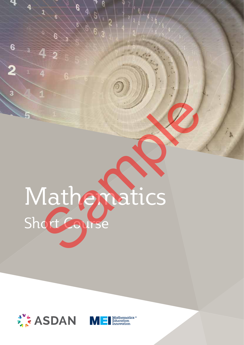# Mathematics Short Course Tathematics

 $\hat{\mathcal{E}}_{\mathbb{A}}$ 



4.

 $6\phantom{1}6$ 

3

 $\overline{a}$ 

 $\overline{\mathbf{1}}$ 

 $\epsilon$ 

6

Э

6

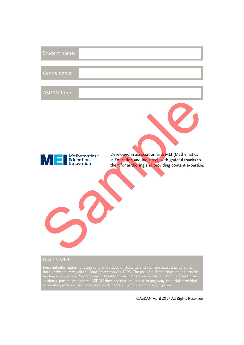| Student name:       |                                                                                                                                                              |
|---------------------|--------------------------------------------------------------------------------------------------------------------------------------------------------------|
| Centre name:        |                                                                                                                                                              |
| <b>ASDAN</b> tutor: |                                                                                                                                                              |
| ME Education        | Developed in association with MEI (Mathematics<br>in Education and Industry), with grateful thanks to<br>them for authoring and providing content expertise. |

#### DISCLAIMER:

Personal information, photographs and videos of students and staff are classed as personal data under the terms of the Data Protection Act 1998. The use of such information as portfolio evidence for ASDAN Programmes or Qualifications will require centres to obtain consent from students, parents and carers. ASDAN does not pass on, or use in any way, materials provided by centres, unless given permission to do so for publicity or training purposes

©ASDAN April 2017 All Rights Reserved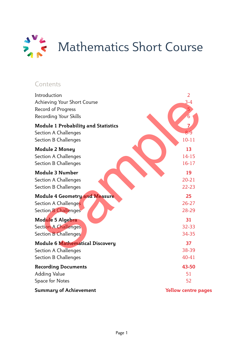

### **Contents**

| Introduction                               | $\overline{2}$             |
|--------------------------------------------|----------------------------|
| Achieving Your Short Course                | $3-4$                      |
| Record of Progress                         | 5                          |
| Recording Your Skills                      | b                          |
| <b>Module 1 Probability and Statistics</b> |                            |
| Section A Challenges                       | $8 - 9$                    |
| Section B Challenges                       | $10 - 11$                  |
| <b>Module 2 Money</b>                      | 13                         |
| <b>Section A Challenges</b>                | $14 - 15$                  |
| <b>Section B Challenges</b>                | $16-17$                    |
| <b>Module 3 Number</b>                     | 19                         |
| Section A Challenges                       | $20 - 21$                  |
| Section B Challenges                       | $22 - 23$                  |
| <b>Module 4 Geometry and Measure</b>       | 25                         |
| Section A Challenges                       | $26 - 27$                  |
| Section B Challenges                       | 28-29                      |
| Module 5 Algebra                           | 31                         |
| Section A Challenges                       | 32-33                      |
| Section B Challenges                       | 34-35                      |
| <b>Module 6 Mathematical Discovery</b>     | 37                         |
| <b>Section A Challenges</b>                | 38-39                      |
| Section B Challenges                       | 40-41                      |
| <b>Recording Documents</b>                 | 43-50                      |
| <b>Adding Value</b>                        | 51                         |
| Space for Notes                            | 52                         |
| <b>Summary of Achievement</b>              | <b>Yellow centre pages</b> |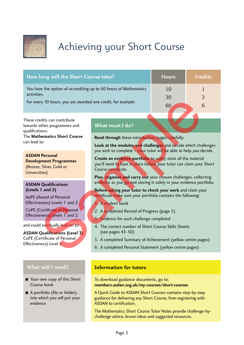

## Achieving your Short Course

| How long will the Short Course take?                                                                                                                                          |                                                                                                                                                                                                                                                                                                                                                                                                                                                                                                                                                     | <b>Hours</b>   | <b>Credits</b> |  |
|-------------------------------------------------------------------------------------------------------------------------------------------------------------------------------|-----------------------------------------------------------------------------------------------------------------------------------------------------------------------------------------------------------------------------------------------------------------------------------------------------------------------------------------------------------------------------------------------------------------------------------------------------------------------------------------------------------------------------------------------------|----------------|----------------|--|
| You have the option of accrediting up to 60 hours of Mathematics<br>activities.<br>For every 10 hours, you are awarded one credit, for example:                               |                                                                                                                                                                                                                                                                                                                                                                                                                                                                                                                                                     | 10<br>30<br>60 | 1<br>3<br>6    |  |
| These credits can contribute<br>towards other programmes and<br>qualifications.<br>The Mathematics Short Course<br>can lead to:                                               | What must I do?                                                                                                                                                                                                                                                                                                                                                                                                                                                                                                                                     |                |                |  |
|                                                                                                                                                                               | Read through these introductory pages carefully.<br>Look at the modules and challenges and decide which challenges<br>you wish to complete $\sim$ your tutor will be able to help you decide.                                                                                                                                                                                                                                                                                                                                                       |                |                |  |
| <b>ASDAN Personal</b><br><b>Development Programmes</b><br>(Bronze, Silver, Gold or<br>Universities)                                                                           | Create an evidence portfolio to safely store all the material<br>you'll need to have in place before your tutor can claim your Short<br>Course certificate.<br>Plan, organise and carry out your chosen challenges, collecting<br>evidence as you go and storing it safely in your evidence portfolio.<br>Before asking your tutor to check your work and claim your<br>certificate make sure your portfolio contains the following:<br>1. A student book<br>2. A completed Record of Progress (page 5)<br>3. Evidence for each challenge completed |                |                |  |
| <b>ASDAN Qualifications</b><br>(Levels 1 and 2)<br>AoPE (Award of Personal<br>Effectiveness) Levels 1 and 2<br>CoPE (Certificate of Personal<br>Effectiveness) Levels 1 and 2 |                                                                                                                                                                                                                                                                                                                                                                                                                                                                                                                                                     |                |                |  |
| and could ev <mark>ent</mark> ually lead on to:<br><b>ASDAN Qualifications (Level 3)</b><br>CoPE (Certificate of Personal<br>Effectiveness) Level 3                           | 4. The correct number of Short Course Skills Sheets<br>(see pages 43-50)<br>5. A completed Summary of Achievement (yellow centre pages)<br>6. A completed Personal Statement (yellow centre pages)                                                                                                                                                                                                                                                                                                                                                  |                |                |  |

#### **ASDAN Qualifications (Levels 1 and 2)**

### **What will I need?**

- $\blacksquare$  Your own copy of this Short Course book
- $\blacksquare$  A portfolio (file or folder), into which you will put your evidence

#### **What must I do?**

- 1. A student book
- 2. A completed Record of Progress (page 5)
- 3. Evidence for each challenge completed
- 4. The correct number of Short Course Skills Sheets (see pages 43-50)
- 5. A completed Summary of Achievement (yellow centre pages)
- 6. A completed Personal Statement (yellow centre pages)

#### **Information for tutors**

To download guidance documents, go to: **members.asdan.org.uk/my-courses/short-courses**

A Quick Guide to ASDAN Short Courses contains step-by-step guidance for delivering any Short Course, from registering with ASDAN to certification.

The Mathematics Short Course Tutor Notes provide challenge-bychallenge advice, lesson ideas and suggested resources.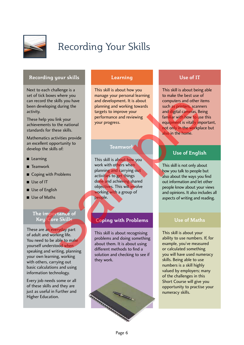

## Recording Your Skills

#### **Recording your skills**

Next to each challenge is a set of tick boxes where you can record the skills you have been developing during the activity.

These help you link your achievements to the national standards for these skills.

Mathematics activities provide an excellent opportunity to develop the skills of:

- **Learning**
- **T**eamwork
- Goping with Problems
- Use of IT
- Use of English
- $\blacksquare$  Use of Maths

#### **The importance of Key/Core Skills**

These are an everyday part of adult and working life. You need to be able to make yourself understood when speaking and writing, planning your own learning, working with others, carrying out basic calculations and using information technology.

Every job needs some or all of these skills and they are just as useful in Further and Higher Education.

#### **Learning**

This skill is about how you manage your personal learning and development. It is about planning and working towards targets to improve your performance and reviewing your progress.

#### **Teamwork**

This skill is about how you work with others when planning and carrying out activities to get things done and achieving shared objectives. This will involve working with a group of people. Coping the transits of the skills of the skills of the skills of the school of the skills of the name is to the name of the skills of the skills of the name of the skills of the skills of the skills of the skills of the sk

#### **Coping with Problems**

This skill is about recognising problems and doing something about them. It is about using different methods to find a solution and checking to see if they work.



### **Use of IT**

This skill is about being able to make the best use of computers and other items such as printers, scanners and digital cameras. Being familiar with how to use this equipment is vitally important, not only in the workplace but also in the home.

### **Use of English**

This skill is not only about how you talk to people but also about the ways you find out information and let other people know about your views and opinions. It also includes all aspects of writing and reading.

#### **Use of Maths**

This skill is about your ability to use numbers. If, for example, you've measured or calculated something you will have used numeracy skills. Being able to use numbers is a skill highly valued by employers; many of the challenges in this Short Course will give you opportunity to practise your numeracy skills.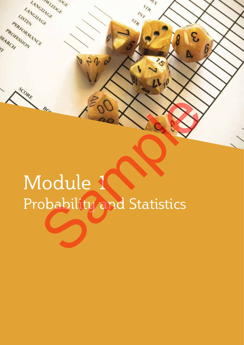# Module 1 Probability and Statistics Sample of the Marian Statistics

 $9900$ 

 $\mathcal{L}_{+}$ STR

દ

 $n_{\rm p}$ 

STR

LANGUAGE

**LANGUAGE** 

USTEV

PERFORMANCE

SCORE.

**PROTESSION** 

SEARCH

WIDGE

OGE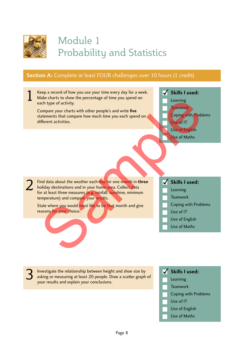

### Module 1 Probability and Statistics

### **Section A:** Complete at least FOUR challenges over 10 hours (1 credit)



Investigate the relationship between height and shoe size by asking or measuring at least 20 people. Draw a scatter graph of your results and explain your conclusions.

**Skills I used:** Learning **Teamwork** Coping with Problems Use of IT Use of English Use of Maths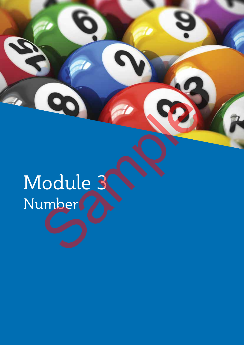# Module 3 Number<sup>7</sup> Color (CO)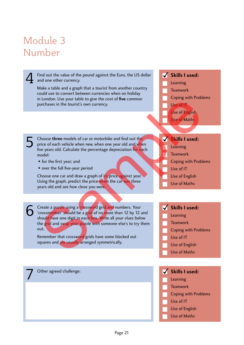## Module 3 Number

Find out the value of the pound against the Euro, the US dollar and one other currency.<br>
1. Learning and one other currency.

Make a table and a graph that a tourist from another country could use to convert between currencies when on holiday in London. Use your table to give the cost of **five** common purchases in the tourist's own currency.

#### Choose **three** models of car or motorbike and find out the price of each vehicle when new, when one year old and when five years old. Calculate the percentage depreciation for each model: Shoose three models of car or motorbike and find out the price of each vehicle when new, when one year old and when<br>five years old Galculate the percentage depreciation for each

- for the first year; and
- over the full five-year period

Choose one car and draw a graph of its price against year. Using the graph, predict the price when the car was three years old and see how close you were.

Create a puzzle using a crossword grid and numbers. Your 'crossnumber' should be a grid of no more than 12 by 12 and should have one digit in each box. Write all your clues below the grid and swap your puzzle with someone else's to try them out. G Create a puzzle using a crossword grid and numbers. Your<br>
Skills I used:<br>
should have one digit in each box. Write all your clues below. Learning Theorem and the total spin and the common state of the common state of each vehicle when new when one year of and when the of English<br>
Sample of Maths<br>
The of English Use of Maths<br>
Use of Maths<br>
Use of Maths<br>
Use of Maths<br>

Remember that crossword grids have some blacked out squares and are usually arranged symmetrically.

### Learning

- **Teamwork**
- Coping with Problems
- Use of IT
- Use of English
- Use of Maths

- Learning
- **Teamwork**
- Coping with Problems
- Use of IT
- Use of English
- Use of Maths

- Learning
- **Teamwork**
- Coping with Problems
- Use of IT
- Use of English
- Use of Maths
- The Other agreed challenge:<br>
The Other agreed challenge:<br>
The Other agreed challenge:<br>
The Other agreed challenge:<br>
The Other agreed challenge:<br>
The Other agreed challenge:<br>
The Other agreed challenge:<br>
The Other agreed ch
	- Learning
	- **Teamwork**
	- Coping with Problems
	- Use of IT
	- Use of English
	- Use of Maths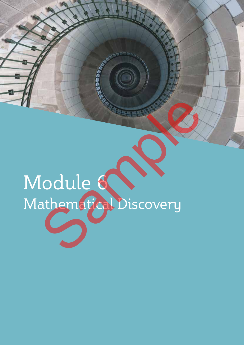# Module 6 Mathematical Discovery Sample of the Manuscript<br>Codule of the Discovery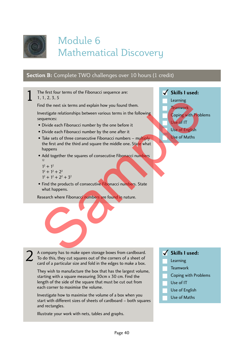

## Module 6 Mathematical Discovery

#### **Section B:** Complete TWO challenges over 10 hours (1 credit)

The first four terms of the Fibonacci sequence are: 1, 1, 2, 3, 5 1

Find the next six terms and explain how you found them.

Investigate relationships between various terms in the following sequences:

- Divide each Fibonacci number by the one before it
- Divide each Fibonacci number by the one after it
- Take sets of three consecutive Fibonacci numbers multiply the first and the third and square the middle one. State what happens  $x_1, y_2, y_3$ <br>
The metallicity exists and explain how you found them.<br>
The fluid each Fibonacci number by the one before it<br>
Divide each Fibonacci number by the one after it<br>
Divide each Fibonacci number by the one after
- Add together the squares of consecutive Fibonacci numbers 12
	- $1^2 + 1^2$  $1^2 + 1^2 + 2^2$  $1^2 + 1^2 + 2^2 + 3^2$

2

• Find the products of consecutive Fibonacci numbers. State what happens.

Research where Fibonacci numbers are found in nature.

- **Skills I used:** Learning Teamwork
	- Coping with Problems
	- Use of IT
	- Use of English Use of Maths

A company has to make open storage boxes from cardboard. To do this, they cut squares out of the corners of a sheet of card of a particular size and fold in the edges to make a box.

They wish to manufacture the box that has the largest volume, starting with a square measuring 30cm x 30 cm. Find the length of the side of the square that must be cut out from each corner to maximise the volume.

Investigate how to maximise the volume of a box when you start with different sizes of sheets of cardboard – both squares and rectangles.

Illustrate your work with nets, tables and graphs.

**Skills I used:** Learning **Teamwork** Coping with Problems Use of IT Use of English Use of Maths

Page 40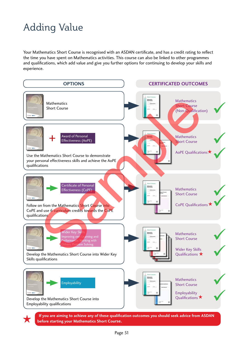## Adding Value

Your Mathematics Short Course is recognised with an ASDAN certificate, and has a credit rating to reflect the time you have spent on Mathematics activities. This course can also be linked to other programmes and qualifications, which add value and give you further options for continuing to develop your skills and experience.



Page 51